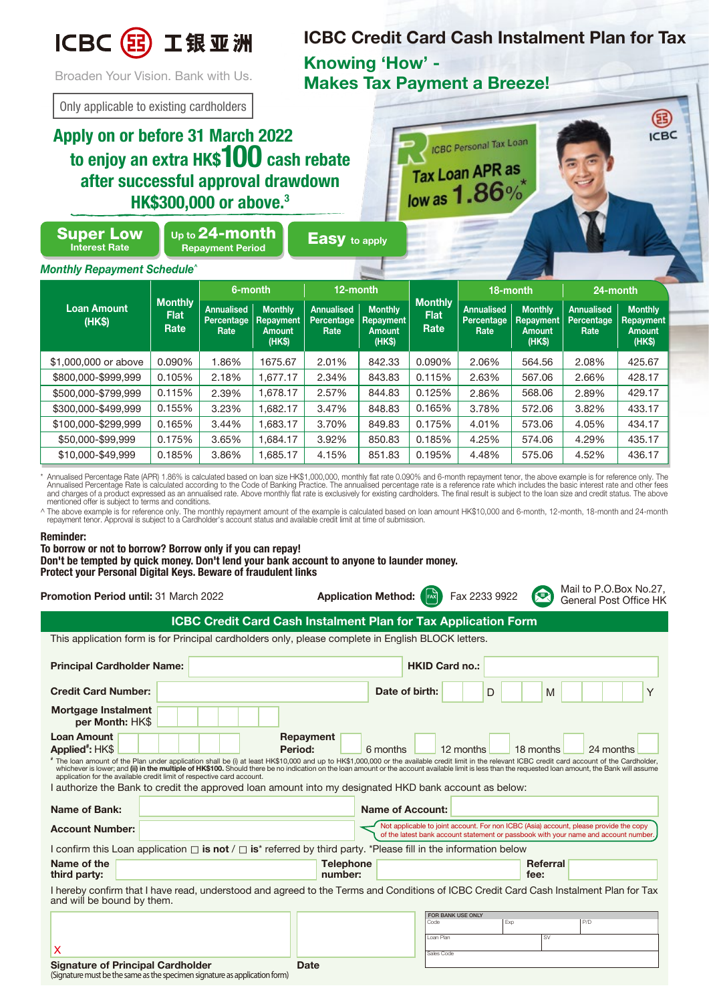

**ICBC Credit Card Cash Instalment Plan for Tax Knowing 'How' - Makes Tax Payment a Breeze!**

ICBC Personal Tax Loan

Broaden Your Vision. Bank with Us.

Only applicable to existing cardholders

## **Apply on or before 31 March 2022 to enjoy an extra HK\$100 cash rebate after successful approval drawdown HK\$300,000 or above.3**

Up to **24-month**<br>Repayment Period

Tax Loan APR as low as  $1.86\%$ 

**Easy** to apply

Super Low Interest Rate

*Monthly Repayment Schedule^*

| <b>Loan Amount</b><br>(HK\$) | <b>Monthly</b><br><b>Flat</b><br>Rate | 6-month                                 |                                                        | 12-month                                |                                                 |                                       | 18-month                                |                                                        | 24-month                                |                                                              |
|------------------------------|---------------------------------------|-----------------------------------------|--------------------------------------------------------|-----------------------------------------|-------------------------------------------------|---------------------------------------|-----------------------------------------|--------------------------------------------------------|-----------------------------------------|--------------------------------------------------------------|
|                              |                                       | <b>Annualised</b><br>Percentage<br>Rate | <b>Monthly</b><br><b>Repayment</b><br>Amount<br>(HK\$) | <b>Annualised</b><br>Percentage<br>Rate | <b>Monthly</b><br>Repayment<br>Amount<br>(HK\$) | <b>Monthly</b><br><b>Flat</b><br>Rate | <b>Annualised</b><br>Percentage<br>Rate | <b>Monthly</b><br><b>Repayment</b><br>Amount<br>(HK\$) | <b>Annualised</b><br>Percentage<br>Rate | <b>Monthly</b><br><b>Repayment</b><br><b>Amount</b><br>(HKS) |
| \$1,000,000 or above         | 0.090%                                | .86%                                    | 1675.67                                                | 2.01%                                   | 842.33                                          | $0.090\%$                             | 2.06%                                   | 564.56                                                 | 2.08%                                   | 425.67                                                       |
| \$800,000-\$999.999          | 0.105%                                | 2.18%                                   | 1,677.17                                               | 2.34%                                   | 843.83                                          | 0.115%                                | 2.63%                                   | 567.06                                                 | 2.66%                                   | 428.17                                                       |
| \$500,000-\$799.999          | 0.115%                                | 2.39%                                   | 1,678.17                                               | 2.57%                                   | 844.83                                          | 0.125%                                | 2.86%                                   | 568.06                                                 | 2.89%                                   | 429.17                                                       |
| \$300,000-\$499.999          | 0.155%                                | 3.23%                                   | ,682.17                                                | 3.47%                                   | 848.83                                          | 0.165%                                | 3.78%                                   | 572.06                                                 | 3.82%                                   | 433.17                                                       |
| \$100,000-\$299.999          | 0.165%                                | 3.44%                                   | .683.17                                                | 3.70%                                   | 849.83                                          | 0.175%                                | 4.01%                                   | 573.06                                                 | 4.05%                                   | 434.17                                                       |
| \$50,000-\$99.999            | 0.175%                                | 3.65%                                   | 1.684.17                                               | 3.92%                                   | 850.83                                          | 0.185%                                | 4.25%                                   | 574.06                                                 | 4.29%                                   | 435.17                                                       |
| \$10,000-\$49.999            | 0.185%                                | 3.86%                                   | .685.17                                                | 4.15%                                   | 851.83                                          | 0.195%                                | 4.48%                                   | 575.06                                                 | 4.52%                                   | 436.17                                                       |

Annualised Percentage Rate (APR) 1.86% is calculated based on loan size HK\$1,000,000, monthly flat rate 0.090% and 6-month repayment tenor, the above example is for reference only. The formalised Percentage Rate is the cal mentioned offer is subject to terms and conditions.

^ The above example is for reference only. The monthly repayment amount of the example is calculated based on loan amount HK\$10,000 and 6-month, 12-month, 18-month and 24-month repayment tenor. Approval is subject to a Cardholder's account status and available credit limit at time of submission.

## **Reminder:**

**To borrow or not to borrow? Borrow only if you can repay! Don't be tempted by quick money. Don't lend your bank account to anyone to launder money. Protect your Personal Digital Keys. Beware of fraudulent links**

**Promotion Period until:** 31 March 2022 **Application Method:** Fax 2233 9922 Mail to P.O.Box No.27,

General Post Office HK

**ICBC** 

**Credit Card Number: Date of birth: Principal Cardholder Name:** This application form is for Principal cardholders only, please complete in English BLOCK letters. **ICBC Credit Card Cash Instalment Plan for Tax Application Form HKID Card no.:** D | | | | | | | | | | | Y **Mortgage Instalment per Month:** HK\$ I authorize the Bank to credit the approved loan amount into my designated HKD bank account as below: Loan Amount **Repayment** Applied<sup>#</sup>: HK\$ **:** HK\$ **Period:** 6 months 12 months 18 months 24 months **#** The loan amount of the Plan under application shall be (i) at least HK\$10,000 and up to HK\$1,000,000 or the available credit limit in the relevant ICBC credit card account of the Cardholder, whichever is lower; and **(ii) in the multiple of HK\$100.** Should there be no indication on the loan amount or the account available limit is less than the requested loan amount, the Bank will assume<br>application for the ava

| Name of Bank:                                                                                                                         |                             | Name of Account: |  |                  |                                                                                                                                                                              |  |  |  |
|---------------------------------------------------------------------------------------------------------------------------------------|-----------------------------|------------------|--|------------------|------------------------------------------------------------------------------------------------------------------------------------------------------------------------------|--|--|--|
| <b>Account Number:</b>                                                                                                                |                             |                  |  |                  | Not applicable to joint account. For non ICBC (Asia) account, please provide the copy<br>of the latest bank account statement or passbook with your name and account number. |  |  |  |
| I confirm this Loan application $\Box$ is not / $\Box$ is* referred by third party. *Please fill in the information below             |                             |                  |  |                  |                                                                                                                                                                              |  |  |  |
| Name of the<br>third party:                                                                                                           | <b>Telephone</b><br>number: |                  |  | Referral<br>fee: |                                                                                                                                                                              |  |  |  |
| I hereby confirm that I have read, understood and agreed to the Terms and Conditions of ICBC Credit Card Cash Instalment Plan for Tax |                             |                  |  |                  |                                                                                                                                                                              |  |  |  |

I hereby confirm that I have read, understood and agreed to the Terms and Conditions of ICBC Credit Card Cash Instalment Plan for Tax and will be bound by them.

|                                                                            |             |  | <b>FOR BANK USE ONLY</b> |     |  |     |  |
|----------------------------------------------------------------------------|-------------|--|--------------------------|-----|--|-----|--|
|                                                                            |             |  | Code                     | Exp |  | P/D |  |
|                                                                            |             |  |                          |     |  |     |  |
|                                                                            |             |  | Loan Plan                |     |  |     |  |
|                                                                            |             |  |                          |     |  |     |  |
|                                                                            |             |  | Sales Code               |     |  |     |  |
| <b>Signature of Principal Cardholder</b>                                   | <b>Date</b> |  |                          |     |  |     |  |
|                                                                            |             |  |                          |     |  |     |  |
| (Signature must be the same as the specimen signature as application form) |             |  |                          |     |  |     |  |